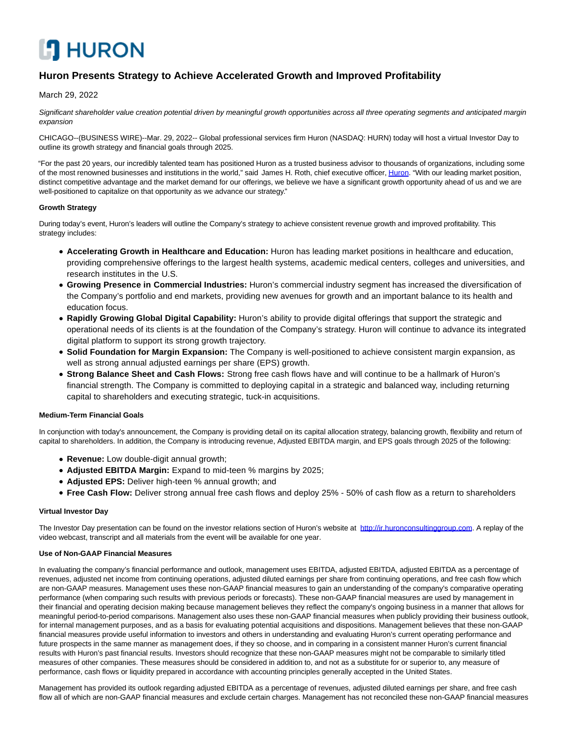# **CO HURON**

# **Huron Presents Strategy to Achieve Accelerated Growth and Improved Profitability**

## March 29, 2022

Significant shareholder value creation potential driven by meaningful growth opportunities across all three operating segments and anticipated margin expansion

CHICAGO--(BUSINESS WIRE)--Mar. 29, 2022-- Global professional services firm Huron (NASDAQ: HURN) today will host a virtual Investor Day to outline its growth strategy and financial goals through 2025.

"For the past 20 years, our incredibly talented team has positioned Huron as a trusted business advisor to thousands of organizations, including some of the most renowned businesses and institutions in the world," said James H. Roth, chief executive officer[, Huron.](https://cts.businesswire.com/ct/CT?id=smartlink&url=https%3A%2F%2Fwww.huronconsultinggroup.com%2F&esheet=52626801&newsitemid=20220329005319&lan=en-US&anchor=Huron&index=1&md5=342ab3e105db08a011378d1d0ae8d71f) "With our leading market position, distinct competitive advantage and the market demand for our offerings, we believe we have a significant growth opportunity ahead of us and we are well-positioned to capitalize on that opportunity as we advance our strategy."

### **Growth Strategy**

During today's event, Huron's leaders will outline the Company's strategy to achieve consistent revenue growth and improved profitability. This strategy includes:

- **Accelerating Growth in Healthcare and Education:** Huron has leading market positions in healthcare and education, providing comprehensive offerings to the largest health systems, academic medical centers, colleges and universities, and research institutes in the U.S.
- **Growing Presence in Commercial Industries:** Huron's commercial industry segment has increased the diversification of the Company's portfolio and end markets, providing new avenues for growth and an important balance to its health and education focus.
- **Rapidly Growing Global Digital Capability:** Huron's ability to provide digital offerings that support the strategic and operational needs of its clients is at the foundation of the Company's strategy. Huron will continue to advance its integrated digital platform to support its strong growth trajectory.
- **Solid Foundation for Margin Expansion:** The Company is well-positioned to achieve consistent margin expansion, as well as strong annual adjusted earnings per share (EPS) growth.
- **Strong Balance Sheet and Cash Flows:** Strong free cash flows have and will continue to be a hallmark of Huron's financial strength. The Company is committed to deploying capital in a strategic and balanced way, including returning capital to shareholders and executing strategic, tuck-in acquisitions.

#### **Medium-Term Financial Goals**

In conjunction with today's announcement, the Company is providing detail on its capital allocation strategy, balancing growth, flexibility and return of capital to shareholders. In addition, the Company is introducing revenue, Adjusted EBITDA margin, and EPS goals through 2025 of the following:

- **Revenue:** Low double-digit annual growth;
- **Adjusted EBITDA Margin:** Expand to mid-teen % margins by 2025;
- **Adjusted EPS:** Deliver high-teen % annual growth; and
- **Free Cash Flow:** Deliver strong annual free cash flows and deploy 25% 50% of cash flow as a return to shareholders

#### **Virtual Investor Day**

The Investor Day presentation can be found on the investor relations section of Huron's website at [http://ir.huronconsultinggroup.com.](https://cts.businesswire.com/ct/CT?id=smartlink&url=http%3A%2F%2Fir.huronconsultinggroup.com&esheet=52626801&newsitemid=20220329005319&lan=en-US&anchor=http%3A%2F%2Fir.huronconsultinggroup.com&index=2&md5=c551781c55c779af7b3e3befea3ce12d) A replay of the video webcast, transcript and all materials from the event will be available for one year.

#### **Use of Non-GAAP Financial Measures**

In evaluating the company's financial performance and outlook, management uses EBITDA, adjusted EBITDA, adjusted EBITDA as a percentage of revenues, adjusted net income from continuing operations, adjusted diluted earnings per share from continuing operations, and free cash flow which are non-GAAP measures. Management uses these non-GAAP financial measures to gain an understanding of the company's comparative operating performance (when comparing such results with previous periods or forecasts). These non-GAAP financial measures are used by management in their financial and operating decision making because management believes they reflect the company's ongoing business in a manner that allows for meaningful period-to-period comparisons. Management also uses these non-GAAP financial measures when publicly providing their business outlook, for internal management purposes, and as a basis for evaluating potential acquisitions and dispositions. Management believes that these non-GAAP financial measures provide useful information to investors and others in understanding and evaluating Huron's current operating performance and future prospects in the same manner as management does, if they so choose, and in comparing in a consistent manner Huron's current financial results with Huron's past financial results. Investors should recognize that these non-GAAP measures might not be comparable to similarly titled measures of other companies. These measures should be considered in addition to, and not as a substitute for or superior to, any measure of performance, cash flows or liquidity prepared in accordance with accounting principles generally accepted in the United States.

Management has provided its outlook regarding adjusted EBITDA as a percentage of revenues, adjusted diluted earnings per share, and free cash flow all of which are non-GAAP financial measures and exclude certain charges. Management has not reconciled these non-GAAP financial measures